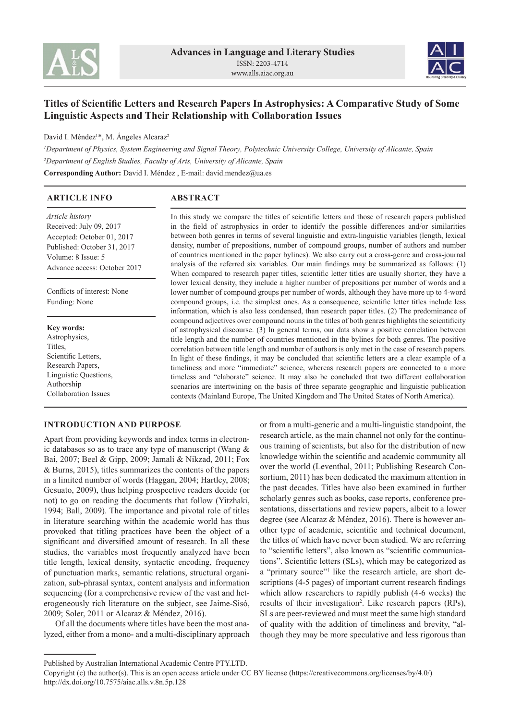



# **Titles of Scientific Letters and Research Papers In Astrophysics: A Comparative Study of Some Linguistic Aspects and Their Relationship with Collaboration Issues**

David I. Méndez<sup>1\*</sup>, M. Angeles Alcaraz<sup>2</sup>

*<sup>1</sup>Department of Physics, System Engineering and Signal Theory, Polytechnic University College, University of Alicante, Spain <sup>2</sup>Department of English Studies, Faculty of Arts, University of Alicante, Spain* **Corresponding Author:** David I. Méndez , E-mail: david.mendez@ua.es

| <b>ARTICLE INFO</b>                                                                                                                                                  | <b>ABSTRACT</b>                                                                                                                                                                                                                                                                                                                                                                                                                                                                                                                                                                                                                                                                                                                                                                                                                                                                                          |
|----------------------------------------------------------------------------------------------------------------------------------------------------------------------|----------------------------------------------------------------------------------------------------------------------------------------------------------------------------------------------------------------------------------------------------------------------------------------------------------------------------------------------------------------------------------------------------------------------------------------------------------------------------------------------------------------------------------------------------------------------------------------------------------------------------------------------------------------------------------------------------------------------------------------------------------------------------------------------------------------------------------------------------------------------------------------------------------|
| <i>Article history</i><br>Received: July 09, 2017<br>Accepted: October 01, 2017<br>Published: October 31, 2017<br>Volume: 8 Issue: 5<br>Advance access: October 2017 | In this study we compare the titles of scientific letters and those of research papers published<br>in the field of astrophysics in order to identify the possible differences and/or similarities<br>between both genres in terms of several linguistic and extra-linguistic variables (length, lexical<br>density, number of prepositions, number of compound groups, number of authors and number<br>of countries mentioned in the paper bylines). We also carry out a cross-genre and cross-journal<br>analysis of the referred six variables. Our main findings may be summarized as follows: (1)<br>When compared to research paper titles, scientific letter titles are usually shorter, they have a                                                                                                                                                                                              |
| Conflicts of interest: None<br>Funding: None                                                                                                                         | lower lexical density, they include a higher number of prepositions per number of words and a<br>lower number of compound groups per number of words, although they have more up to 4-word<br>compound groups, <i>i.e.</i> the simplest ones. As a consequence, scientific letter titles include less<br>information, which is also less condensed, than research paper titles. (2) The predominance of                                                                                                                                                                                                                                                                                                                                                                                                                                                                                                  |
| <b>Key words:</b><br>Astrophysics,<br>Titles.<br>Scientific Letters,<br>Research Papers,<br>Linguistic Questions,<br>Authorship<br><b>Collaboration Issues</b>       | compound adjectives over compound nouns in the titles of both genres highlights the scientificity<br>of astrophysical discourse. (3) In general terms, our data show a positive correlation between<br>title length and the number of countries mentioned in the bylines for both genres. The positive<br>correlation between title length and number of authors is only met in the case of research papers.<br>In light of these findings, it may be concluded that scientific letters are a clear example of a<br>timeliness and more "immediate" science, whereas research papers are connected to a more<br>timeless and "elaborate" science. It may also be concluded that two different collaboration<br>scenarios are intertwining on the basis of three separate geographic and linguistic publication<br>contexts (Mainland Europe, The United Kingdom and The United States of North America). |

## **INTRODUCTION AND PURPOSE**

Apart from providing keywords and index terms in electronic databases so as to trace any type of manuscript (Wang & Bai, 2007; Beel & Gipp, 2009; Jamali & Nikzad, 2011; Fox & Burns, 2015), titles summarizes the contents of the papers in a limited number of words (Haggan, 2004; Hartley, 2008; Gesuato, 2009), thus helping prospective readers decide (or not) to go on reading the documents that follow (Yitzhaki, 1994; Ball, 2009). The importance and pivotal role of titles in literature searching within the academic world has thus provoked that titling practices have been the object of a significant and diversified amount of research. In all these studies, the variables most frequently analyzed have been title length, lexical density, syntactic encoding, frequency of punctuation marks, semantic relations, structural organization, sub-phrasal syntax, content analysis and information sequencing (for a comprehensive review of the vast and heterogeneously rich literature on the subject, see Jaime-Sisó, 2009; Soler, 2011 or Alcaraz & Méndez, 2016).

Of all the documents where titles have been the most analyzed, either from a mono- and a multi-disciplinary approach or from a multi-generic and a multi-linguistic standpoint, the research article, as the main channel not only for the continuous training of scientists, but also for the distribution of new knowledge within the scientific and academic community all over the world (Leventhal, 2011; Publishing Research Consortium, 2011) has been dedicated the maximum attention in the past decades. Titles have also been examined in further scholarly genres such as books, case reports, conference presentations, dissertations and review papers, albeit to a lower degree (see Alcaraz & Méndez, 2016). There is however another type of academic, scientific and technical document, the titles of which have never been studied. We are referring to "scientific letters", also known as "scientific communications". Scientific letters (SLs), which may be categorized as a "primary source"<sup>1</sup> like the research article, are short descriptions (4-5 pages) of important current research findings which allow researchers to rapidly publish (4-6 weeks) the results of their investigation<sup>2</sup>. Like research papers (RPs), SLs are peer-reviewed and must meet the same high standard of quality with the addition of timeliness and brevity, "although they may be more speculative and less rigorous than

Published by Australian International Academic Centre PTY.LTD.

Copyright (c) the author(s). This is an open access article under CC BY license (https://creativecommons.org/licenses/by/4.0/) http://dx.doi.org/10.7575/aiac.alls.v.8n.5p.128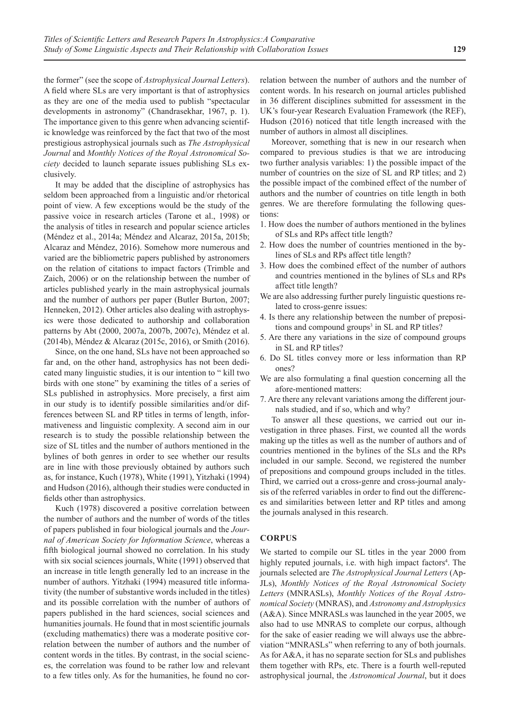the former" (see the scope of *Astrophysical Journal Letters*). A field where SLs are very important is that of astrophysics as they are one of the media used to publish "spectacular developments in astronomy" (Chandrasekhar, 1967, p. 1). The importance given to this genre when advancing scientific knowledge was reinforced by the fact that two of the most prestigious astrophysical journals such as *The Astrophysical Journal* and *Monthly Notices of the Royal Astronomical Society* decided to launch separate issues publishing SLs exclusively.

It may be added that the discipline of astrophysics has seldom been approached from a linguistic and/or rhetorical point of view. A few exceptions would be the study of the passive voice in research articles (Tarone et al., 1998) or the analysis of titles in research and popular science articles (Méndez et al., 2014a; Méndez and Alcaraz, 2015a, 2015b; Alcaraz and Méndez, 2016). Somehow more numerous and varied are the bibliometric papers published by astronomers on the relation of citations to impact factors (Trimble and Zaich, 2006) or on the relationship between the number of articles published yearly in the main astrophysical journals and the number of authors per paper (Butler Burton, 2007; Henneken, 2012). Other articles also dealing with astrophysics were those dedicated to authorship and collaboration patterns by Abt (2000, 2007a, 2007b, 2007c), Méndez et al. (2014b), Méndez & Alcaraz (2015c, 2016), or Smith (2016).

Since, on the one hand, SLs have not been approached so far and, on the other hand, astrophysics has not been dedicated many linguistic studies, it is our intention to " kill two birds with one stone" by examining the titles of a series of SLs published in astrophysics. More precisely, a first aim in our study is to identify possible similarities and/or differences between SL and RP titles in terms of length, informativeness and linguistic complexity. A second aim in our research is to study the possible relationship between the size of SL titles and the number of authors mentioned in the bylines of both genres in order to see whether our results are in line with those previously obtained by authors such as, for instance, Kuch (1978), White (1991), Yitzhaki (1994) and Hudson (2016), although their studies were conducted in fields other than astrophysics.

Kuch (1978) discovered a positive correlation between the number of authors and the number of words of the titles of papers published in four biological journals and the *Journal of American Society for Information Science*, whereas a fifth biological journal showed no correlation. In his study with six social sciences journals, White (1991) observed that an increase in title length generally led to an increase in the number of authors. Yitzhaki (1994) measured title informativity (the number of substantive words included in the titles) and its possible correlation with the number of authors of papers published in the hard sciences, social sciences and humanities journals. He found that in most scientific journals (excluding mathematics) there was a moderate positive correlation between the number of authors and the number of content words in the titles. By contrast, in the social sciences, the correlation was found to be rather low and relevant to a few titles only. As for the humanities, he found no correlation between the number of authors and the number of content words. In his research on journal articles published in 36 different disciplines submitted for assessment in the UK's four-year Research Evaluation Framework (the REF), Hudson (2016) noticed that title length increased with the number of authors in almost all disciplines.

Moreover, something that is new in our research when compared to previous studies is that we are introducing two further analysis variables: 1) the possible impact of the number of countries on the size of SL and RP titles; and 2) the possible impact of the combined effect of the number of authors and the number of countries on title length in both genres. We are therefore formulating the following questions:

- 1. How does the number of authors mentioned in the bylines of SLs and RPs affect title length?
- 2. How does the number of countries mentioned in the bylines of SLs and RPs affect title length?
- 3. How does the combined effect of the number of authors and countries mentioned in the bylines of SLs and RPs affect title length?
- We are also addressing further purely linguistic questions related to cross-genre issues:
- 4. Is there any relationship between the number of prepositions and compound groups<sup>3</sup> in SL and RP titles?
- 5. Are there any variations in the size of compound groups in SL and RP titles?
- 6. Do SL titles convey more or less information than RP ones?
- We are also formulating a final question concerning all the afore-mentioned matters:
- 7. Are there any relevant variations among the different journals studied, and if so, which and why?

To answer all these questions, we carried out our investigation in three phases. First, we counted all the words making up the titles as well as the number of authors and of countries mentioned in the bylines of the SLs and the RPs included in our sample. Second, we registered the number of prepositions and compound groups included in the titles. Third, we carried out a cross-genre and cross-journal analysis of the referred variables in order to find out the differences and similarities between letter and RP titles and among the journals analysed in this research.

## **CORPUS**

We started to compile our SL titles in the year 2000 from highly reputed journals, i.e. with high impact factors<sup>4</sup>. The journals selected are *The Astrophysical Journal Letters* (Ap-JLs), *Monthly Notices of the Royal Astronomical Society Letters* (MNRASLs), *Monthly Notices of the Royal Astronomical Society* (MNRAS), and *Astronomy and Astrophysics* (A&A). Since MNRASLs was launched in the year 2005, we also had to use MNRAS to complete our corpus, although for the sake of easier reading we will always use the abbreviation "MNRASLs" when referring to any of both journals. As for A&A, it has no separate section for SLs and publishes them together with RPs, etc. There is a fourth well-reputed astrophysical journal, the *Astronomical Journal*, but it does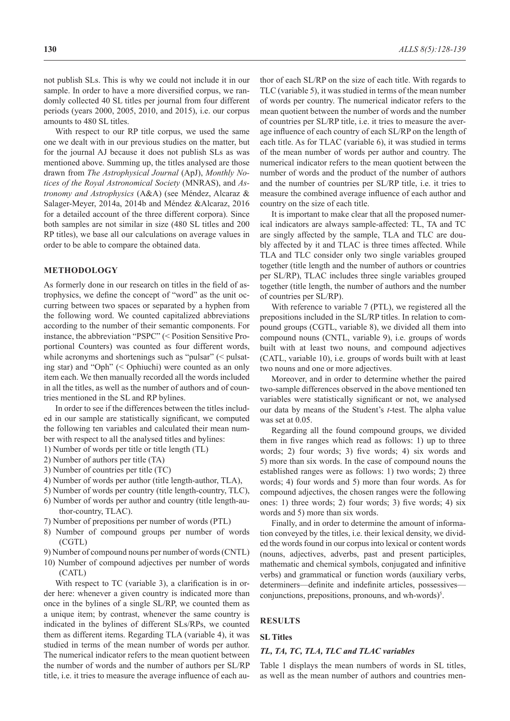not publish SLs. This is why we could not include it in our sample. In order to have a more diversified corpus, we randomly collected 40 SL titles per journal from four different periods (years 2000, 2005, 2010, and 2015), i.e. our corpus amounts to 480 SL titles.

With respect to our RP title corpus, we used the same one we dealt with in our previous studies on the matter, but for the journal AJ because it does not publish SLs as was mentioned above. Summing up, the titles analysed are those drawn from *The Astrophysical Journal* (ApJ), *Monthly Notices of the Royal Astronomical Society* (MNRAS), and *Astronomy and Astrophysics* (A&A) (see Méndez, Alcaraz & Salager-Meyer, 2014a, 2014b and Méndez &Alcaraz, 2016 for a detailed account of the three different corpora). Since both samples are not similar in size (480 SL titles and 200 RP titles), we base all our calculations on average values in order to be able to compare the obtained data.

## **METHODOLOGY**

As formerly done in our research on titles in the field of astrophysics, we define the concept of "word" as the unit occurring between two spaces or separated by a hyphen from the following word. We counted capitalized abbreviations according to the number of their semantic components. For instance, the abbreviation "PSPC" (< Position Sensitive Proportional Counters) was counted as four different words, while acronyms and shortenings such as "pulsar" (< pulsating star) and "Oph" (< Ophiuchi) were counted as an only item each. We then manually recorded all the words included in all the titles, as well as the number of authors and of countries mentioned in the SL and RP bylines.

In order to see if the differences between the titles included in our sample are statistically significant, we computed the following ten variables and calculated their mean number with respect to all the analysed titles and bylines:

- 1) Number of words per title or title length (TL)
- 2) Number of authors per title (TA)
- 3) Number of countries per title (TC)
- 4) Number of words per author (title length-author, TLA),
- 5) Number of words per country (title length-country, TLC),
- 6) Number of words per author and country (title length-author-country, TLAC).
- 7) Number of prepositions per number of words (PTL)
- 8) Number of compound groups per number of words (CGTL)
- 9) Number of compound nouns per number of words (CNTL)
- 10) Number of compound adjectives per number of words (CATL)

With respect to TC (variable 3), a clarification is in order here: whenever a given country is indicated more than once in the bylines of a single SL/RP, we counted them as a unique item; by contrast, whenever the same country is indicated in the bylines of different SLs/RPs, we counted them as different items. Regarding TLA (variable 4), it was studied in terms of the mean number of words per author. The numerical indicator refers to the mean quotient between the number of words and the number of authors per SL/RP title, i.e. it tries to measure the average influence of each author of each SL/RP on the size of each title. With regards to TLC (variable 5), it was studied in terms of the mean number of words per country. The numerical indicator refers to the mean quotient between the number of words and the number of countries per SL/RP title, i.e. it tries to measure the average influence of each country of each SL/RP on the length of each title. As for TLAC (variable 6), it was studied in terms of the mean number of words per author and country. The numerical indicator refers to the mean quotient between the number of words and the product of the number of authors and the number of countries per SL/RP title, i.e. it tries to measure the combined average influence of each author and country on the size of each title.

It is important to make clear that all the proposed numerical indicators are always sample-affected: TL, TA and TC are singly affected by the sample, TLA and TLC are doubly affected by it and TLAC is three times affected. While TLA and TLC consider only two single variables grouped together (title length and the number of authors or countries per SL/RP), TLAC includes three single variables grouped together (title length, the number of authors and the number of countries per SL/RP).

With reference to variable 7 (PTL), we registered all the prepositions included in the SL/RP titles. In relation to compound groups (CGTL, variable 8), we divided all them into compound nouns (CNTL, variable 9), i.e. groups of words built with at least two nouns, and compound adjectives (CATL, variable 10), i.e. groups of words built with at least two nouns and one or more adjectives.

Moreover, and in order to determine whether the paired two-sample differences observed in the above mentioned ten variables were statistically significant or not, we analysed our data by means of the Student's *t*-test. The alpha value was set at 0.05.

Regarding all the found compound groups, we divided them in five ranges which read as follows: 1) up to three words; 2) four words; 3) five words; 4) six words and 5) more than six words. In the case of compound nouns the established ranges were as follows: 1) two words; 2) three words; 4) four words and 5) more than four words. As for compound adjectives, the chosen ranges were the following ones: 1) three words; 2) four words; 3) five words; 4) six words and 5) more than six words.

Finally, and in order to determine the amount of information conveyed by the titles, i.e. their lexical density, we divided the words found in our corpus into lexical or content words (nouns, adjectives, adverbs, past and present participles, mathematic and chemical symbols, conjugated and infinitive verbs) and grammatical or function words (auxiliary verbs, determiners—definite and indefinite articles, possessives conjunctions, prepositions, pronouns, and wh-words)<sup>5</sup>.

#### **RESULTS**

#### **SL Titles**

## *TL, TA, TC, TLA, TLC and TLAC variables*

Table 1 displays the mean numbers of words in SL titles, as well as the mean number of authors and countries men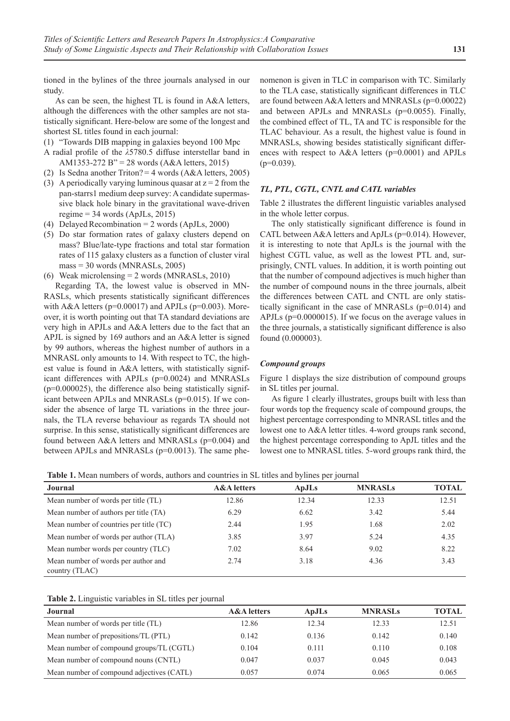tioned in the bylines of the three journals analysed in our study.

As can be seen, the highest TL is found in A&A letters, although the differences with the other samples are not statistically significant. Here-below are some of the longest and shortest SL titles found in each journal:

- (1) "Towards DIB mapping in galaxies beyond 100 Mpc
- A radial profile of the *λ*5780.5 diffuse interstellar band in AM1353-272 B" = 28 words (A&A letters, 2015)
- (2) Is Sedna another Triton? = 4 words ( $A&A$  letters, 2005)
- (3) A periodically varying luminous quasar at  $z = 2$  from the pan-starrs1 medium deep survey: Acandidate supermassive black hole binary in the gravitational wave-driven regime  $= 34$  words (ApJLs, 2015)
- (4) Delayed Recombination =  $2 \text{ words (ApJLs, 2000)}$
- (5) Do star formation rates of galaxy clusters depend on mass? Blue/late-type fractions and total star formation rates of 115 galaxy clusters as a function of cluster viral mass = 30 words (MNRASLs, 2005)
- (6) Weak microlensing = 2 words (MNRASLs, 2010)

Regarding TA, the lowest value is observed in MN-RASLs, which presents statistically significant differences with A&A letters ( $p=0.00017$ ) and APJLs ( $p=0.003$ ). Moreover, it is worth pointing out that TA standard deviations are very high in APJLs and A&A letters due to the fact that an APJL is signed by 169 authors and an A&A letter is signed by 99 authors, whereas the highest number of authors in a MNRASL only amounts to 14. With respect to TC, the highest value is found in A&A letters, with statistically significant differences with APJLs (p=0.0024) and MNRASLs  $(p=0.000025)$ , the difference also being statistically significant between APJLs and MNRASLs (p=0.015). If we consider the absence of large TL variations in the three journals, the TLA reverse behaviour as regards TA should not surprise. In this sense, statistically significant differences are found between A&A letters and MNRASLs (p=0.004) and between APJLs and MNRASLs (p=0.0013). The same phenomenon is given in TLC in comparison with TC. Similarly to the TLA case, statistically significant differences in TLC are found between A&A letters and MNRASLs (p=0.00022) and between APJLs and MNRASLs (p=0.0055). Finally, the combined effect of TL, TA and TC is responsible for the TLAC behaviour. As a result, the highest value is found in MNRASLs, showing besides statistically significant differences with respect to A&A letters (p=0.0001) and APJLs  $(p=0.039)$ .

#### *TL, PTL, CGTL, CNTL and CATL variables*

Table 2 illustrates the different linguistic variables analysed in the whole letter corpus.

The only statistically significant difference is found in CATL between A&A letters and ApJLs (p=0.014). However, it is interesting to note that ApJLs is the journal with the highest CGTL value, as well as the lowest PTL and, surprisingly, CNTL values. In addition, it is worth pointing out that the number of compound adjectives is much higher than the number of compound nouns in the three journals, albeit the differences between CATL and CNTL are only statistically significant in the case of MNRASLs (p=0.014) and APJLs (p=0.0000015). If we focus on the average values in the three journals, a statistically significant difference is also found (0.000003).

#### *Compound groups*

Figure 1 displays the size distribution of compound groups in SL titles per journal.

As figure 1 clearly illustrates, groups built with less than four words top the frequency scale of compound groups, the highest percentage corresponding to MNRASL titles and the lowest one to A&A letter titles. 4-word groups rank second, the highest percentage corresponding to ApJL titles and the lowest one to MNRASL titles. 5-word groups rank third, the

**Table 1.** Mean numbers of words, authors and countries in SL titles and bylines per journal

| <b>Journal</b>                                        | <b>A&amp;A</b> letters | ApJLs | <b>MNRASLs</b> | <b>TOTAL</b> |
|-------------------------------------------------------|------------------------|-------|----------------|--------------|
| Mean number of words per title (TL)                   | 12.86                  | 12.34 | 12.33          | 12.51        |
| Mean number of authors per title (TA)                 | 6.29                   | 6.62  | 3.42           | 5.44         |
| Mean number of countries per title (TC)               | 2.44                   | 1.95  | 1.68           | 2.02         |
| Mean number of words per author (TLA)                 | 3.85                   | 3.97  | 5.24           | 4.35         |
| Mean number words per country (TLC)                   | 7.02                   | 8.64  | 9.02           | 8.22         |
| Mean number of words per author and<br>country (TLAC) | 2.74                   | 3.18  | 4.36           | 3.43         |

**Table 2.** Linguistic variables in SL titles per journal

| <b>Journal</b>                            | <b>A&amp;A</b> letters | ApJLs | <b>MNRASLs</b> | <b>TOTAL</b> |
|-------------------------------------------|------------------------|-------|----------------|--------------|
| Mean number of words per title (TL)       | 12.86                  | 12.34 | 12.33          | 12.51        |
| Mean number of prepositions/TL (PTL)      | 0.142                  | 0.136 | 0.142          | 0.140        |
| Mean number of compound groups/TL (CGTL)  | 0.104                  | 0.111 | 0.110          | 0.108        |
| Mean number of compound nouns (CNTL)      | 0.047                  | 0.037 | 0.045          | 0.043        |
| Mean number of compound adjectives (CATL) | 0.057                  | 0.074 | 0.065          | 0.065        |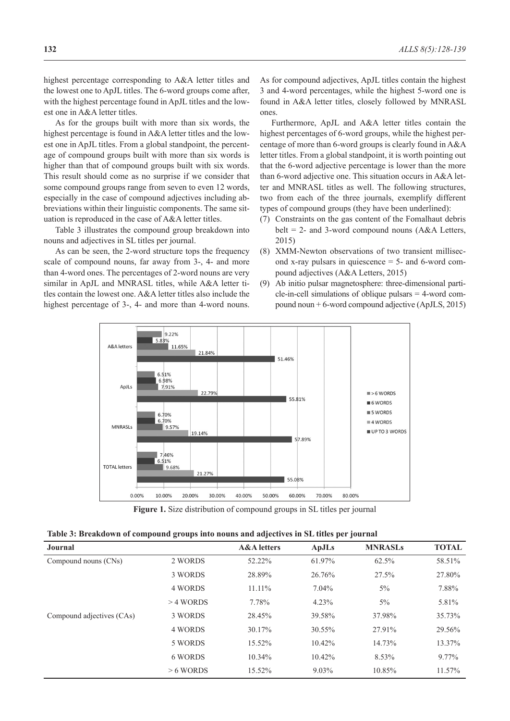highest percentage corresponding to A&A letter titles and the lowest one to ApJL titles. The 6-word groups come after, with the highest percentage found in ApJL titles and the lowest one in A&A letter titles.

As for the groups built with more than six words, the highest percentage is found in A&A letter titles and the lowest one in ApJL titles. From a global standpoint, the percentage of compound groups built with more than six words is higher than that of compound groups built with six words. This result should come as no surprise if we consider that some compound groups range from seven to even 12 words, especially in the case of compound adjectives including abbreviations within their linguistic components. The same situation is reproduced in the case of A&A letter titles.

Table 3 illustrates the compound group breakdown into nouns and adjectives in SL titles per journal.

As can be seen, the 2-word structure tops the frequency scale of compound nouns, far away from 3-, 4- and more than 4-word ones. The percentages of 2-word nouns are very similar in ApJL and MNRASL titles, while A&A letter titles contain the lowest one. A&A letter titles also include the highest percentage of 3-, 4- and more than 4-word nouns. As for compound adjectives, ApJL titles contain the highest 3 and 4-word percentages, while the highest 5-word one is found in A&A letter titles, closely followed by MNRASL ones.

Furthermore, ApJL and A&A letter titles contain the highest percentages of 6-word groups, while the highest percentage of more than 6-word groups is clearly found in A&A letter titles. From a global standpoint, it is worth pointing out that the 6-word adjective percentage is lower than the more than 6-word adjective one. This situation occurs in A&A letter and MNRASL titles as well. The following structures, two from each of the three journals, exemplify different types of compound groups (they have been underlined):

- (7) Constraints on the gas content of the Fomalhaut debris belt = 2- and 3-word compound nouns  $(A&A$  Letters, 2015)
- (8) XMM-Newton observations of two transient millisecond x-ray pulsars in quiescence  $=$  5- and 6-word compound adjectives (A&A Letters, 2015)
- (9) Ab initio pulsar magnetosphere: three-dimensional particle-in-cell simulations of oblique pulsars = 4-word compound noun + 6-word compound adjective (ApJLS, 2015)



**Figure 1.** Size distribution of compound groups in SL titles per journal

| Journal                   |             | <b>A&amp;A</b> letters | <b>ApJLs</b> | <b>MNRASLs</b> | <b>TOTAL</b> |
|---------------------------|-------------|------------------------|--------------|----------------|--------------|
| Compound nouns (CNs)      | 2 WORDS     | 52.22%                 | 61.97%       | 62.5%          | 58.51%       |
|                           | 3 WORDS     | 28.89%                 | 26.76%       | 27.5%          | 27.80%       |
|                           | 4 WORDS     | 11.11%                 | $7.04\%$     | $5\%$          | 7.88%        |
|                           | $>4$ WORDS  | 7.78%                  | 4.23%        | $5\%$          | 5.81%        |
| Compound adjectives (CAs) | 3 WORDS     | 28.45%                 | 39.58%       | 37.98%         | 35.73%       |
|                           | 4 WORDS     | 30.17%                 | 30.55%       | 27.91%         | 29.56%       |
|                           | 5 WORDS     | 15.52%                 | $10.42\%$    | 14.73%         | 13.37%       |
|                           | 6 WORDS     | 10.34%                 | 10.42%       | 8.53%          | 9.77%        |
|                           | $> 6$ WORDS | 15.52%                 | $9.03\%$     | 10.85%         | 11.57%       |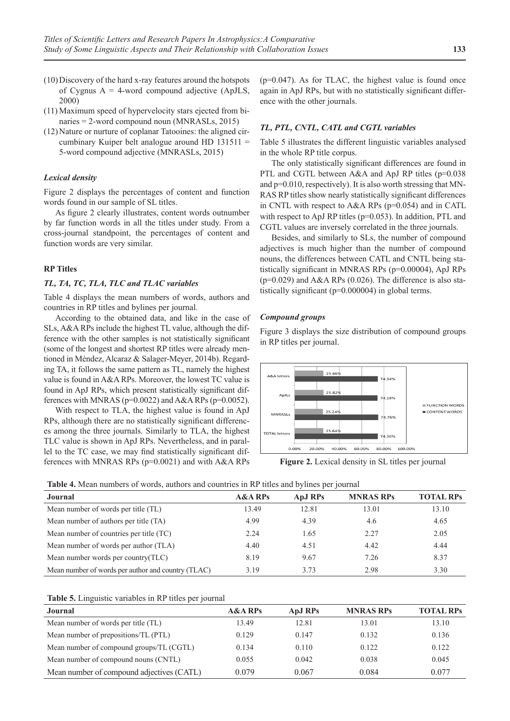- (10)Discovery of the hard x-ray features around the hotspots of Cygnus  $A = 4$ -word compound adjective (ApJLS, 2000)
- (11) Maximum speed of hypervelocity stars ejected from binaries = 2-word compound noun (MNRASLs, 2015)
- $(12)$  Nature or nurture of coplanar Tatooines: the aligned circumbinary Kuiper belt analogue around HD 131511 = 5-word compound adjective (MNRASLs, 2015)

#### *Lexical density*

Figure 2 displays the percentages of content and function words found in our sample of SL titles.

As figure 2 clearly illustrates, content words outnumber by far function words in all the titles under study. From a cross-journal standpoint, the percentages of content and function words are very similar.

## **RP Titles**

#### *TL, TA, TC, TLA, TLC and TLAC variables*

Table 4 displays the mean numbers of words, authors and countries in RP titles and bylines per journal.

According to the obtained data, and like in the case of SLs, A&A RPs include the highest TL value, although the difference with the other samples is not statistically significant (some of the longest and shortest RP titles were already mentioned in Méndez, Alcaraz & Salager-Meyer, 2014b). Regarding TA, it follows the same pattern as TL, namely the highest value is found in A&A RPs. Moreover, the lowest TC value is found in ApJ RPs, which present statistically significant differences with MNRAS ( $p=0.0022$ ) and A&A RPs ( $p=0.0052$ ).

With respect to TLA, the highest value is found in ApJ RPs, although there are no statistically significant differences among the three journals. Similarly to TLA, the highest TLC value is shown in ApJ RPs. Nevertheless, and in parallel to the TC case, we may find statistically significant differences with MNRAS RPs (p=0.0021) and with A&A RPs  $(p=0.047)$ . As for TLAC, the highest value is found once again in ApJ RPs, but with no statistically significant difference with the other journals.

### *TL, PTL, CNTL, CATL and CGTL variables*

Table 5 illustrates the different linguistic variables analysed in the whole RP title corpus.

The only statistically significant differences are found in PTL and CGTL between A&A and ApJ RP titles (p=0.038 and p=0.010, respectively). It is also worth stressing that MN-RAS RP titles show nearly statistically significant differences in CNTL with respect to A&A RPs (p=0.054) and in CATL with respect to ApJ RP titles (p=0.053). In addition, PTL and CGTL values are inversely correlated in the three journals.

Besides, and similarly to SLs, the number of compound adjectives is much higher than the number of compound nouns, the differences between CATL and CNTL being statistically significant in MNRAS RPs (p=0.00004), ApJ RPs  $(p=0.029)$  and A&A RPs  $(0.026)$ . The difference is also statistically significant (p=0.000004) in global terms.

#### *Compound groups*

Figure 3 displays the size distribution of compound groups in RP titles per journal.



**Figure 2.** Lexical density in SL titles per journal

|  | Table 4. Mean numbers of words, authors and countries in RP titles and bylines per journal |  |  |  |  |  |  |  |  |  |
|--|--------------------------------------------------------------------------------------------|--|--|--|--|--|--|--|--|--|
|--|--------------------------------------------------------------------------------------------|--|--|--|--|--|--|--|--|--|

| Journal                                            | <b>A&amp;A RPs</b> | ApJ RPs | <b>MNRAS RPs</b> | <b>TOTAL RPs</b> |
|----------------------------------------------------|--------------------|---------|------------------|------------------|
| Mean number of words per title (TL)                | 13.49              | 12.81   | 13.01            | 13.10            |
| Mean number of authors per title (TA)              | 4.99               | 4.39    | 4.6              | 4.65             |
| Mean number of countries per title (TC)            | 2.24               | 1.65    | 2.27             | 2.05             |
| Mean number of words per author (TLA)              | 4.40               | 4.51    | 4.42             | 4.44             |
| Mean number words per country (TLC)                | 8.19               | 9.67    | 7.26             | 8.37             |
| Mean number of words per author and country (TLAC) | 3.19               | 3.73    | 2.98             | 3.30             |

| Table 5. Linguistic variables in RP titles per journal |  |  |
|--------------------------------------------------------|--|--|
|--------------------------------------------------------|--|--|

| Journal                                   | <b>A&amp;A RPs</b> | ApJ RPs | <b>MNRAS RPs</b> | <b>TOTAL RPs</b> |
|-------------------------------------------|--------------------|---------|------------------|------------------|
| Mean number of words per title (TL)       | 13.49              | 12.81   | 13.01            | 13.10            |
| Mean number of prepositions/TL (PTL)      | 0.129              | 0.147   | 0.132            | 0.136            |
| Mean number of compound groups/TL (CGTL)  | 0.134              | 0.110   | 0.122            | 0.122            |
| Mean number of compound nouns (CNTL)      | 0.055              | 0.042   | 0.038            | 0.045            |
| Mean number of compound adjectives (CATL) | 0.079              | 0.067   | 0.084            | 0.077            |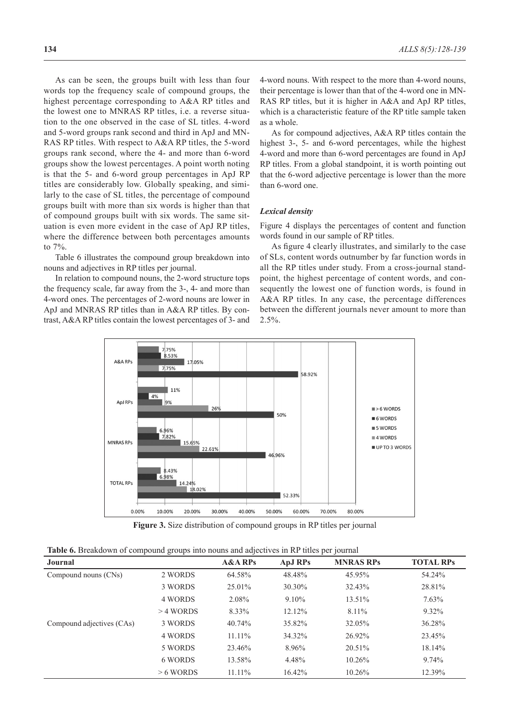As can be seen, the groups built with less than four words top the frequency scale of compound groups, the highest percentage corresponding to A&A RP titles and the lowest one to MNRAS RP titles, i.e. a reverse situation to the one observed in the case of SL titles. 4-word and 5-word groups rank second and third in ApJ and MN-RAS RP titles. With respect to A&A RP titles, the 5-word groups rank second, where the 4- and more than 6-word groups show the lowest percentages. A point worth noting is that the 5- and 6-word group percentages in ApJ RP titles are considerably low. Globally speaking, and similarly to the case of SL titles, the percentage of compound groups built with more than six words is higher than that of compound groups built with six words. The same situation is even more evident in the case of ApJ RP titles, where the difference between both percentages amounts to 7%.

Table 6 illustrates the compound group breakdown into nouns and adjectives in RP titles per journal.

In relation to compound nouns, the 2-word structure tops the frequency scale, far away from the 3-, 4- and more than 4-word ones. The percentages of 2-word nouns are lower in ApJ and MNRAS RP titles than in A&A RP titles. By contrast, A&A RP titles contain the lowest percentages of 3- and 4-word nouns. With respect to the more than 4-word nouns, their percentage is lower than that of the 4-word one in MN-RAS RP titles, but it is higher in A&A and ApJ RP titles, which is a characteristic feature of the RP title sample taken as a whole.

As for compound adjectives, A&A RP titles contain the highest 3-, 5- and 6-word percentages, while the highest 4-word and more than 6-word percentages are found in ApJ RP titles. From a global standpoint, it is worth pointing out that the 6-word adjective percentage is lower than the more than 6-word one.

#### *Lexical density*

Figure 4 displays the percentages of content and function words found in our sample of RP titles.

As figure 4 clearly illustrates, and similarly to the case of SLs, content words outnumber by far function words in all the RP titles under study. From a cross-journal standpoint, the highest percentage of content words, and consequently the lowest one of function words, is found in A&A RP titles. In any case, the percentage differences between the different journals never amount to more than  $2.5\%$ .



**Figure 3.** Size distribution of compound groups in RP titles per journal

| Table 6. Breakdown of compound groups into nouns and adjectives in RP titles per journal |  |  |  |
|------------------------------------------------------------------------------------------|--|--|--|
|------------------------------------------------------------------------------------------|--|--|--|

| Journal                   |             | <b>A&amp;A RPs</b> | <b>ApJ RPs</b> | <b>MNRAS RPs</b> | <b>TOTAL RPs</b> |
|---------------------------|-------------|--------------------|----------------|------------------|------------------|
| Compound nouns (CNs)      | 2 WORDS     | 64.58%             | 48.48%         | 45.95%           | 54.24%           |
|                           | 3 WORDS     | 25.01%             | 30.30%         | 32.43%           | 28.81%           |
|                           | 4 WORDS     | 2.08%              | $9.10\%$       | 13.51%           | $7.63\%$         |
|                           | $>4$ WORDS  | 8.33%              | 12.12%         | $8.11\%$         | $9.32\%$         |
| Compound adjectives (CAs) | 3 WORDS     | 40.74%             | 35.82%         | 32.05%           | 36.28%           |
|                           | 4 WORDS     | 11.11%             | 34.32%         | 26.92%           | 23.45%           |
|                           | 5 WORDS     | 23.46%             | 8.96%          | $20.51\%$        | 18.14%           |
|                           | 6 WORDS     | 13.58%             | 4.48%          | $10.26\%$        | 9.74%            |
|                           | $> 6$ WORDS | $11.11\%$          | 16.42%         | $10.26\%$        | 12.39%           |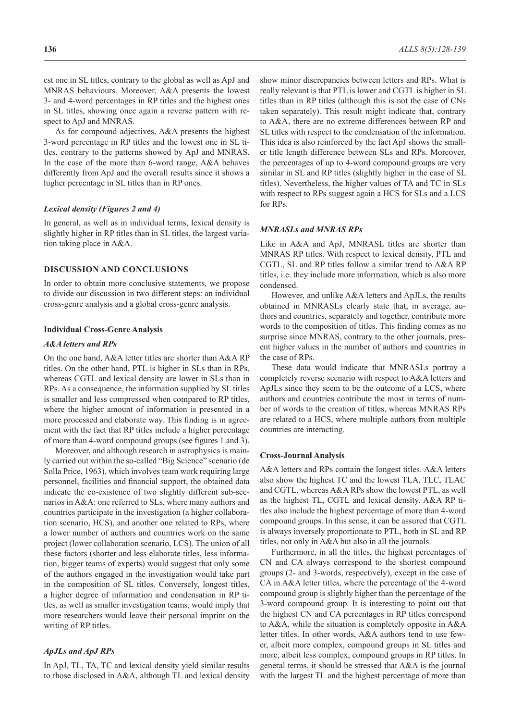est one in SL titles, contrary to the global as well as ApJ and MNRAS behaviours. Moreover, A&A presents the lowest 3- and 4-word percentages in RP titles and the highest ones in SL titles, showing once again a reverse pattern with respect to ApJ and MNRAS.

As for compound adjectives, A&A presents the highest 3-word percentage in RP titles and the lowest one in SL titles, contrary to the patterns showed by ApJ and MNRAS. In the case of the more than 6-word range, A&A behaves differently from ApJ and the overall results since it shows a higher percentage in SL titles than in RP ones.

#### *Lexical density (Figures 2 and 4)*

In general, as well as in individual terms, lexical density is slightly higher in RP titles than in SL titles, the largest variation taking place in A&A.

## **DISCUSSION AND CONCLUSIONS**

In order to obtain more conclusive statements, we propose to divide our discussion in two different steps: an individual cross-genre analysis and a global cross-genre analysis.

#### **Individual Cross-Genre Analysis**

#### *A&A letters and RPs*

On the one hand, A&A letter titles are shorter than A&A RP titles. On the other hand, PTL is higher in SLs than in RPs, whereas CGTL and lexical density are lower in SLs than in RPs. As a consequence, the information supplied by SL titles is smaller and less compressed when compared to RP titles, where the higher amount of information is presented in a more processed and elaborate way. This finding is in agreement with the fact that RP titles include a higher percentage of more than 4-word compound groups (see figures 1 and 3).

Moreover, and although research in astrophysics is mainly carried out within the so-called "Big Science" scenario (de Solla Price, 1963), which involves team work requiring large personnel, facilities and financial support, the obtained data indicate the co-existence of two slightly different sub-scenarios in A&A: one referred to SLs, where many authors and countries participate in the investigation (a higher collaboration scenario, HCS), and another one related to RPs, where a lower number of authors and countries work on the same project (lower collaboration scenario, LCS). The union of all these factors (shorter and less elaborate titles, less information, bigger teams of experts) would suggest that only some of the authors engaged in the investigation would take part in the composition of SL titles. Conversely, longest titles, a higher degree of information and condensation in RP titles, as well as smaller investigation teams, would imply that more researchers would leave their personal imprint on the writing of RP titles.

#### *ApJLs and ApJ RPs*

In ApJ, TL, TA, TC and lexical density yield similar results to those disclosed in A&A, although TL and lexical density show minor discrepancies between letters and RPs. What is really relevant is that PTL is lower and CGTL is higher in SL titles than in RP titles (although this is not the case of CNs taken separately). This result might indicate that, contrary to A&A, there are no extreme differences between RP and SL titles with respect to the condensation of the information. This idea is also reinforced by the fact ApJ shows the smaller title length difference between SLs and RPs. Moreover, the percentages of up to 4-word compound groups are very similar in SL and RP titles (slightly higher in the case of SL titles). Nevertheless, the higher values of TA and TC in SLs with respect to RPs suggest again a HCS for SLs and a LCS for RPs.

#### *MNRASLs and MNRAS RPs*

Like in A&A and ApJ, MNRASL titles are shorter than MNRAS RP titles. With respect to lexical density, PTL and CGTL, SL and RP titles follow a similar trend to A&A RP titles, i.e. they include more information, which is also more condensed.

However, and unlike A&A letters and ApJLs, the results obtained in MNRASLs clearly state that, in average, authors and countries, separately and together, contribute more words to the composition of titles. This finding comes as no surprise since MNRAS, contrary to the other journals, present higher values in the number of authors and countries in the case of RPs.

These data would indicate that MNRASLs portray a completely reverse scenario with respect to A&A letters and ApJLs since they seem to be the outcome of a LCS, where authors and countries contribute the most in terms of number of words to the creation of titles, whereas MNRAS RPs are related to a HCS, where multiple authors from multiple countries are interacting.

#### **Cross-Journal Analysis**

A&A letters and RPs contain the longest titles. A&A letters also show the highest TC and the lowest TLA, TLC, TLAC and CGTL, whereas A&A RPs show the lowest PTL, as well as the highest TL, CGTL and lexical density. A&A RP titles also include the highest percentage of more than 4-word compound groups. In this sense, it can be assured that CGTL is always inversely proportionate to PTL, both in SL and RP titles, not only in A&A but also in all the journals.

Furthermore, in all the titles, the highest percentages of CN and CA always correspond to the shortest compound groups (2- and 3-words, respectively), except in the case of CA in A&A letter titles, where the percentage of the 4-word compound group is slightly higher than the percentage of the 3-word compound group. It is interesting to point out that the highest CN and CA percentages in RP titles correspond to A&A, while the situation is completely opposite in A&A letter titles. In other words, A&A authors tend to use fewer, albeit more complex, compound groups in SL titles and more, albeit less complex, compound groups in RP titles. In general terms, it should be stressed that A&A is the journal with the largest TL and the highest percentage of more than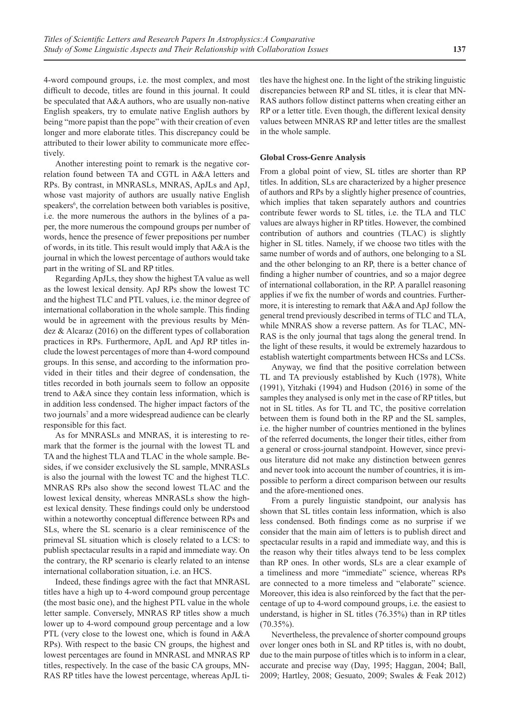4-word compound groups, i.e. the most complex, and most difficult to decode, titles are found in this journal. It could be speculated that A&A authors, who are usually non-native English speakers, try to emulate native English authors by being "more papist than the pope" with their creation of even longer and more elaborate titles. This discrepancy could be attributed to their lower ability to communicate more effectively.

Another interesting point to remark is the negative correlation found between TA and CGTL in A&A letters and RPs. By contrast, in MNRASLs, MNRAS, ApJLs and ApJ, whose vast majority of authors are usually native English speakers<sup>6</sup>, the correlation between both variables is positive, i.e. the more numerous the authors in the bylines of a paper, the more numerous the compound groups per number of words, hence the presence of fewer prepositions per number of words, in its title. This result would imply that A&A is the journal in which the lowest percentage of authors would take part in the writing of SL and RP titles.

Regarding ApJLs, they show the highest TA value as well as the lowest lexical density. ApJ RPs show the lowest TC and the highest TLC and PTL values, i.e. the minor degree of international collaboration in the whole sample. This finding would be in agreement with the previous results by Méndez & Alcaraz (2016) on the different types of collaboration practices in RPs. Furthermore, ApJL and ApJ RP titles include the lowest percentages of more than 4-word compound groups. In this sense, and according to the information provided in their titles and their degree of condensation, the titles recorded in both journals seem to follow an opposite trend to A&A since they contain less information, which is in addition less condensed. The higher impact factors of the two journals<sup>7</sup> and a more widespread audience can be clearly responsible for this fact.

As for MNRASLs and MNRAS, it is interesting to remark that the former is the journal with the lowest TL and TA and the highest TLA and TLAC in the whole sample. Besides, if we consider exclusively the SL sample, MNRASLs is also the journal with the lowest TC and the highest TLC. MNRAS RPs also show the second lowest TLAC and the lowest lexical density, whereas MNRASLs show the highest lexical density. These findings could only be understood within a noteworthy conceptual difference between RPs and SLs, where the SL scenario is a clear reminiscence of the primeval SL situation which is closely related to a LCS: to publish spectacular results in a rapid and immediate way. On the contrary, the RP scenario is clearly related to an intense international collaboration situation, i.e. an HCS.

Indeed, these findings agree with the fact that MNRASL titles have a high up to 4-word compound group percentage (the most basic one), and the highest PTL value in the whole letter sample. Conversely, MNRAS RP titles show a much lower up to 4-word compound group percentage and a low PTL (very close to the lowest one, which is found in A&A RPs). With respect to the basic CN groups, the highest and lowest percentages are found in MNRASL and MNRAS RP titles, respectively. In the case of the basic CA groups, MN-RAS RP titles have the lowest percentage, whereas ApJL titles have the highest one. In the light of the striking linguistic discrepancies between RP and SL titles, it is clear that MN-RAS authors follow distinct patterns when creating either an RP or a letter title. Even though, the different lexical density values between MNRAS RP and letter titles are the smallest in the whole sample.

#### **Global Cross-Genre Analysis**

From a global point of view, SL titles are shorter than RP titles. In addition, SLs are characterized by a higher presence of authors and RPs by a slightly higher presence of countries, which implies that taken separately authors and countries contribute fewer words to SL titles, i.e. the TLA and TLC values are always higher in RP titles. However, the combined contribution of authors and countries (TLAC) is slightly higher in SL titles. Namely, if we choose two titles with the same number of words and of authors, one belonging to a SL and the other belonging to an RP, there is a better chance of finding a higher number of countries, and so a major degree of international collaboration, in the RP. A parallel reasoning applies if we fix the number of words and countries. Furthermore, it is interesting to remark that A&A and ApJ follow the general trend previously described in terms of TLC and TLA, while MNRAS show a reverse pattern. As for TLAC, MN-RAS is the only journal that tags along the general trend. In the light of these results, it would be extremely hazardous to establish watertight compartments between HCSs and LCSs.

Anyway, we find that the positive correlation between TL and TA previously established by Kuch (1978), White (1991), Yitzhaki (1994) and Hudson (2016) in some of the samples they analysed is only met in the case of RP titles, but not in SL titles. As for TL and TC, the positive correlation between them is found both in the RP and the SL samples, i.e. the higher number of countries mentioned in the bylines of the referred documents, the longer their titles, either from a general or cross-journal standpoint. However, since previous literature did not make any distinction between genres and never took into account the number of countries, it is impossible to perform a direct comparison between our results and the afore-mentioned ones.

From a purely linguistic standpoint, our analysis has shown that SL titles contain less information, which is also less condensed. Both findings come as no surprise if we consider that the main aim of letters is to publish direct and spectacular results in a rapid and immediate way, and this is the reason why their titles always tend to be less complex than RP ones. In other words, SLs are a clear example of a timeliness and more "immediate" science, whereas RPs are connected to a more timeless and "elaborate" science. Moreover, this idea is also reinforced by the fact that the percentage of up to 4-word compound groups, i.e. the easiest to understand, is higher in SL titles (76.35%) than in RP titles  $(70.35\%)$ .

Nevertheless, the prevalence of shorter compound groups over longer ones both in SL and RP titles is, with no doubt, due to the main purpose of titles which is to inform in a clear, accurate and precise way (Day, 1995; Haggan, 2004; Ball, 2009; Hartley, 2008; Gesuato, 2009; Swales & Feak 2012)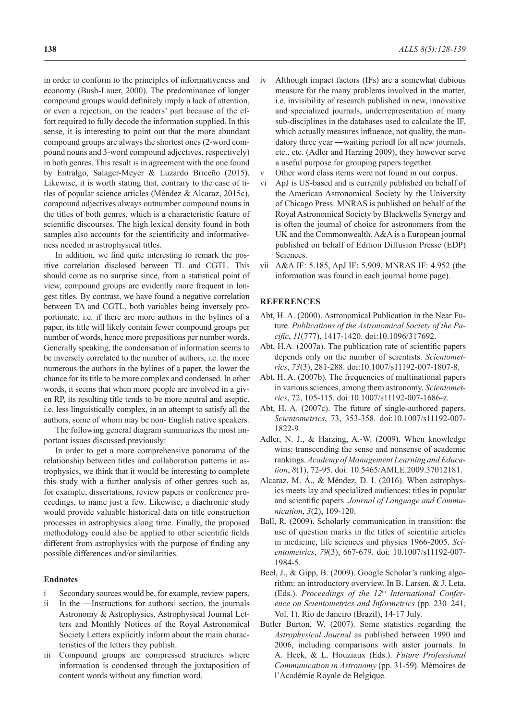in order to conform to the principles of informativeness and economy (Bush-Lauer, 2000). The predominance of longer compound groups would definitely imply a lack of attention, or even a rejection, on the readers' part because of the effort required to fully decode the information supplied. In this sense, it is interesting to point out that the more abundant compound groups are always the shortest ones (2-word compound nouns and 3-word compound adjectives, respectively) in both genres. This result is in agreement with the one found by Entralgo, Salager-Meyer & Luzardo Briceño (2015). Likewise, it is worth stating that, contrary to the case of titles of popular science articles (Méndez & Alcaraz, 2015c), compound adjectives always outnumber compound nouns in the titles of both genres, which is a characteristic feature of scientific discourses. The high lexical density found in both samples also accounts for the scientificity and informativeness needed in astrophysical titles.

In addition, we find quite interesting to remark the positive correlation disclosed between TL and CGTL. This should come as no surprise since, from a statistical point of view, compound groups are evidently more frequent in longest titles. By contrast, we have found a negative correlation between TA and CGTL, both variables being inversely proportionate, i.e. if there are more authors in the bylines of a paper, its title will likely contain fewer compound groups per number of words, hence more prepositions per number words. Generally speaking, the condensation of information seems to be inversely correlated to the number of authors, i.e. the more numerous the authors in the bylines of a paper, the lower the chance for its title to be more complex and condensed. In other words, it seems that when more people are involved in a given RP, its resulting title tends to be more neutral and aseptic, i.e. less linguistically complex, in an attempt to satisfy all the authors, some of whom may be non- English native speakers.

Figure 5 (p.135) summarizes the most important issues discussed previously.

In order to get a more comprehensive panorama of the relationship between titles and collaboration patterns in astrophysics, we think that it would be interesting to complete this study with a further analysis of other genres such as, for example, dissertations, review papers or conference proceedings, to name just a few. Likewise, a diachronic study would provide valuable historical data on title construction processes in astrophysics along time. Finally, the proposed methodology could also be applied to other scientific fields different from astrophysics with the purpose of finding any possible differences and/or similarities.

#### **Endnotes**

- i Secondary sources would be, for example, review papers.
- ii In the ―Instructions for authors‖ section, the journals Astronomy & Astrophysics, Astrophysical Journal Letters and Monthly Notices of the Royal Astronomical Society Letters explicitly inform about the main characteristics of the letters they publish.
- iii Compound groups are compressed structures where information is condensed through the juxtaposition of content words without any function word.
- iv Although impact factors (IFs) are a somewhat dubious measure for the many problems involved in the matter, i.e. invisibility of research published in new, innovative and specialized journals, underrepresentation of many sub-disciplines in the databases used to calculate the IF, which actually measures influence, not quality, the mandatory three year ―waiting period‖ for all new journals, etc., etc. (Adler and Harzing 2009), they however serve a useful purpose for grouping papers together.
- v Other word class items were not found in our corpus.
- vi ApJ is US-based and is currently published on behalf of the American Astronomical Society by the University of Chicago Press. MNRAS is published on behalf of the Royal Astronomical Society by Blackwells Synergy and is often the journal of choice for astronomers from the UK and the Commonwealth. A&A is a European journal published on behalf of Édition Diffusion Presse (EDP) Sciences.
- vii A&A IF: 5.185, ApJ IF: 5.909, MNRAS IF: 4.952 (the information was found in each journal home page).

#### **REFERENCES**

- Abt, H. A. (2000). Astronomical Publication in the Near Future. *Publications of the Astronomical Society of the Pacific*, *11*(777), 1417-1420. doi:10.1096/317692.
- Abt, H.A. (2007a). The publication rate of scientific papers depends only on the number of scientists. *Scientometrics*, *73*(3), 281-288. doi:10.1007/s11192-007-1807-8.
- Abt, H. A. (2007b). The frequencies of multinational papers in various sciences, among them astronomy. *Scientometrics*, 72, 105-115. doi:10.1007/s11192-007-1686-z.
- Abt, H. A. (2007c). The future of single-authored papers. *Scientometrics*, 73, 353-358. doi:10.1007/s11192-007- 1822-9.
- Adler, N. J., & Harzing, A.-W. (2009). When knowledge wins: transcending the sense and nonsense of academic rankings. *Academy of Management Learning and Education*, *8*(1), 72-95. doi: 10.5465/AMLE.2009.37012181.
- Alcaraz, M. Á., & Méndez, D. I. (2016). When astrophysics meets lay and specialized audiences: titles in popular and scientific papers. *Journal of Language and Communication*, *3*(2), 109-120.
- Ball, R. (2009). Scholarly communication in transition: the use of question marks in the titles of scientific articles in medicine, life sciences and physics 1966-2005. *Scientometrics*, *79*(3), 667-679. doi: 10.1007/s11192-007- 1984-5.
- Beel, J., & Gipp, B. (2009). Google Scholar's ranking algorithm: an introductory overview. In B. Larsen, & J. Leta, (Eds.). *Proceedings of the 12*th *International Conference on Scientometrics and Informetrics* (pp. 230–241, Vol. 1). Rio de Janeiro (Brazil), 14-17 July.
- Butler Burton, W. (2007). Some statistics regarding the *Astrophysical Journal* as published between 1990 and 2006, including comparisons with sister journals. In A. Heck, & L. Houziaux (Eds.). *Future Professional Communication in Astronomy* (pp. 31-59). Mémoires de l'Académie Royale de Belgique.